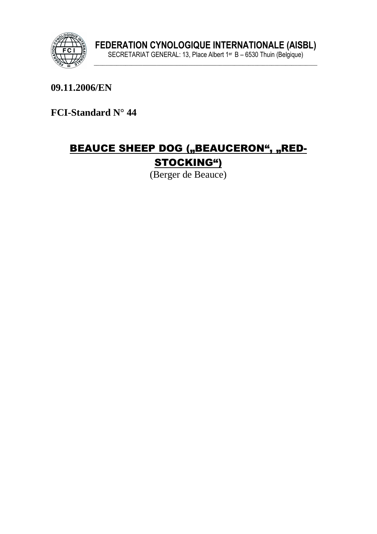

**09.11.2006/EN** 

**FCI-Standard N° 44** 

# BEAUCE SHEEP DOG ("BEAUCERON", "RED-STOCKING")

(Berger de Beauce)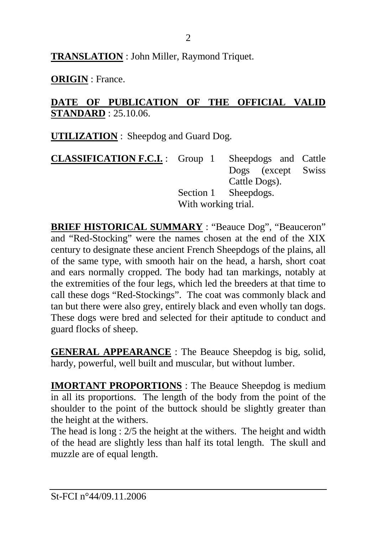**TRANSLATION** : John Miller, Raymond Triquet.

**ORIGIN** : France.

## **DATE OF PUBLICATION OF THE OFFICIAL VALID STANDARD** : 25.10.06.

**UTILIZATION** : Sheepdog and Guard Dog.

| <b>CLASSIFICATION F.C.I.</b> : Group 1 Sheepdogs and Cattle |                     |                      |  |
|-------------------------------------------------------------|---------------------|----------------------|--|
|                                                             |                     | Dogs (except Swiss   |  |
|                                                             |                     | Cattle Dogs).        |  |
|                                                             |                     | Section 1 Sheepdogs. |  |
|                                                             | With working trial. |                      |  |

**BRIEF HISTORICAL SUMMARY** : "Beauce Dog", "Beauceron" and "Red-Stocking" were the names chosen at the end of the XIX century to designate these ancient French Sheepdogs of the plains, all of the same type, with smooth hair on the head, a harsh, short coat and ears normally cropped. The body had tan markings, notably at the extremities of the four legs, which led the breeders at that time to call these dogs "Red-Stockings". The coat was commonly black and tan but there were also grey, entirely black and even wholly tan dogs. These dogs were bred and selected for their aptitude to conduct and guard flocks of sheep.

**GENERAL APPEARANCE** : The Beauce Sheepdog is big, solid, hardy, powerful, well built and muscular, but without lumber.

**IMORTANT PROPORTIONS** : The Beauce Sheepdog is medium in all its proportions. The length of the body from the point of the shoulder to the point of the buttock should be slightly greater than the height at the withers.

The head is long : 2/5 the height at the withers. The height and width of the head are slightly less than half its total length. The skull and muzzle are of equal length.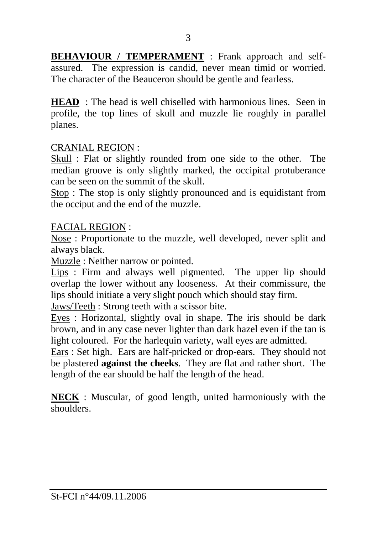**BEHAVIOUR / TEMPERAMENT** : Frank approach and selfassured. The expression is candid, never mean timid or worried. The character of the Beauceron should be gentle and fearless.

**HEAD** : The head is well chiselled with harmonious lines. Seen in profile, the top lines of skull and muzzle lie roughly in parallel planes.

#### CRANIAL REGION :

Skull : Flat or slightly rounded from one side to the other. The median groove is only slightly marked, the occipital protuberance can be seen on the summit of the skull.

Stop : The stop is only slightly pronounced and is equidistant from the occiput and the end of the muzzle.

#### FACIAL REGION :

Nose : Proportionate to the muzzle, well developed, never split and always black.

Muzzle : Neither narrow or pointed.

Lips : Firm and always well pigmented. The upper lip should overlap the lower without any looseness. At their commissure, the lips should initiate a very slight pouch which should stay firm.

Jaws/Teeth : Strong teeth with a scissor bite.

Eyes : Horizontal, slightly oval in shape. The iris should be dark brown, and in any case never lighter than dark hazel even if the tan is light coloured. For the harlequin variety, wall eyes are admitted.

Ears : Set high. Ears are half-pricked or drop-ears. They should not be plastered **against the cheeks**. They are flat and rather short. The length of the ear should be half the length of the head.

**NECK** : Muscular, of good length, united harmoniously with the shoulders.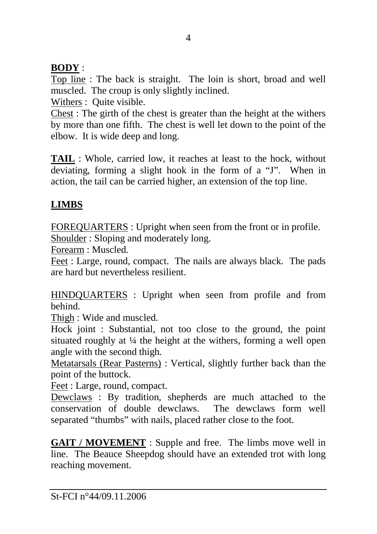## **BODY** :

Top line : The back is straight. The loin is short, broad and well muscled. The croup is only slightly inclined.

Withers : Quite visible.

Chest : The girth of the chest is greater than the height at the withers by more than one fifth. The chest is well let down to the point of the elbow. It is wide deep and long.

**TAIL** : Whole, carried low, it reaches at least to the hock, without deviating, forming a slight hook in the form of a "J". When in action, the tail can be carried higher, an extension of the top line.

# **LIMBS**

FOREQUARTERS : Upright when seen from the front or in profile.

Shoulder : Sloping and moderately long.

Forearm : Muscled.

Feet : Large, round, compact. The nails are always black. The pads are hard but nevertheless resilient.

HINDQUARTERS : Upright when seen from profile and from behind.

Thigh : Wide and muscled.

Hock joint : Substantial, not too close to the ground, the point situated roughly at  $\frac{1}{4}$  the height at the withers, forming a well open angle with the second thigh.

Metatarsals (Rear Pasterns) : Vertical, slightly further back than the point of the buttock.

Feet : Large, round, compact.

Dewclaws : By tradition, shepherds are much attached to the conservation of double dewclaws. The dewclaws form well separated "thumbs" with nails, placed rather close to the foot.

**GAIT / MOVEMENT** : Supple and free. The limbs move well in line. The Beauce Sheepdog should have an extended trot with long reaching movement.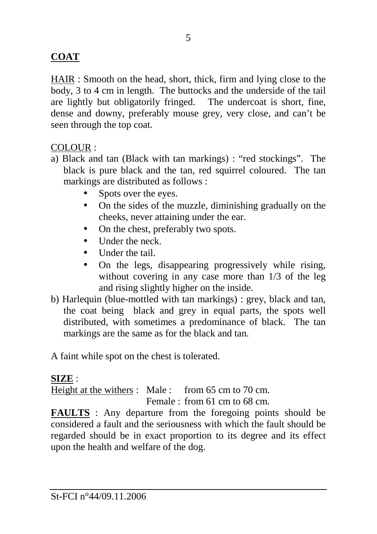## **COAT**

HAIR : Smooth on the head, short, thick, firm and lying close to the body, 3 to 4 cm in length. The buttocks and the underside of the tail are lightly but obligatorily fringed. The undercoat is short, fine, dense and downy, preferably mouse grey, very close, and can't be seen through the top coat.

#### COLOUR :

- a) Black and tan (Black with tan markings) : "red stockings". The black is pure black and the tan, red squirrel coloured. The tan markings are distributed as follows :
	- Spots over the eyes.
	- On the sides of the muzzle, diminishing gradually on the cheeks, never attaining under the ear.
	- On the chest, preferably two spots.
	- Under the neck.
	- Under the tail
	- On the legs, disappearing progressively while rising, without covering in any case more than 1/3 of the leg and rising slightly higher on the inside.
- b) Harlequin (blue-mottled with tan markings) : grey, black and tan, the coat being black and grey in equal parts, the spots well distributed, with sometimes a predominance of black. The tan markings are the same as for the black and tan.

A faint while spot on the chest is tolerated.

### **SIZE** :

Height at the withers : Male : from 65 cm to 70 cm.

Female : from 61 cm to 68 cm.

**FAULTS** : Any departure from the foregoing points should be considered a fault and the seriousness with which the fault should be regarded should be in exact proportion to its degree and its effect upon the health and welfare of the dog.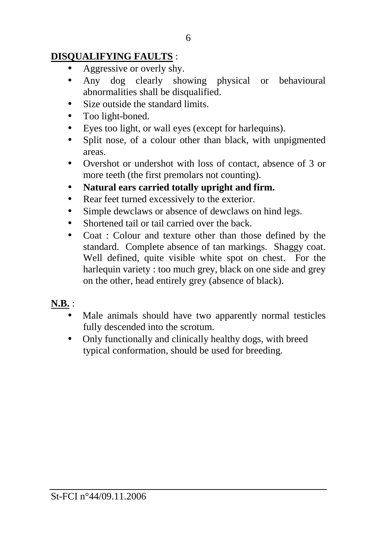## **DISQUALIFYING FAULTS** :

- Aggressive or overly shy.
- Any dog clearly showing physical or behavioural abnormalities shall be disqualified.
- Size outside the standard limits.
- Too light-boned.
- Eyes too light, or wall eyes (except for harlequins).
- Split nose, of a colour other than black, with unpigmented areas.
- Overshot or undershot with loss of contact, absence of 3 or more teeth (the first premolars not counting).
- **Natural ears carried totally upright and firm.**
- Rear feet turned excessively to the exterior.
- Simple dewclaws or absence of dewclaws on hind legs.
- Shortened tail or tail carried over the back.
- Coat : Colour and texture other than those defined by the standard. Complete absence of tan markings. Shaggy coat. Well defined, quite visible white spot on chest. For the harlequin variety : too much grey, black on one side and grey on the other, head entirely grey (absence of black).
- **N.B.** :
	- Male animals should have two apparently normal testicles fully descended into the scrotum.
	- Only functionally and clinically healthy dogs, with breed typical conformation, should be used for breeding.